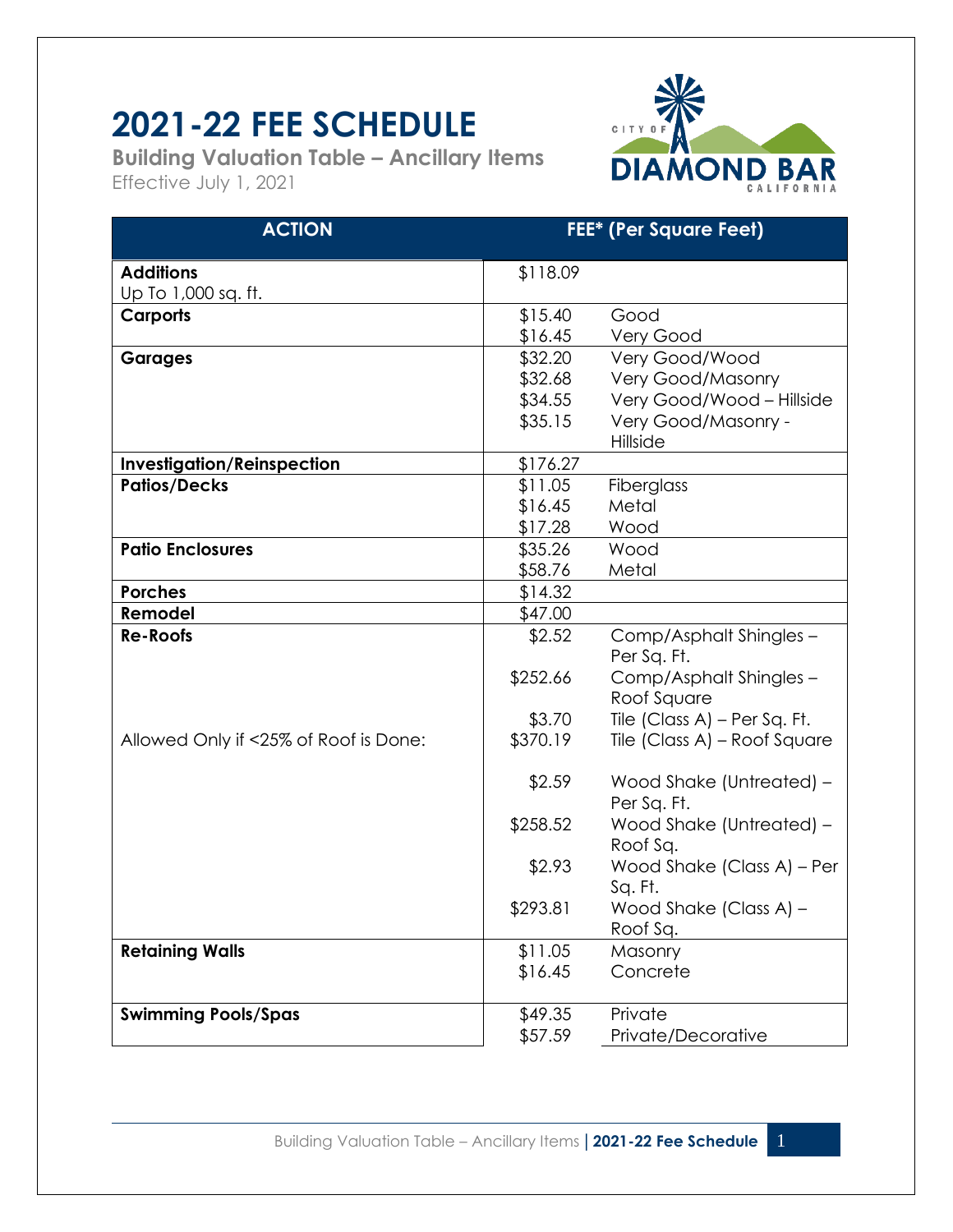## **2021-22 FEE SCHEDULE**

**Building Valuation Table – Ancillary Items** Effective July 1, 2021



| <b>ACTION</b>                         | <b>FEE*</b> (Per Square Feet) |                                         |
|---------------------------------------|-------------------------------|-----------------------------------------|
| <b>Additions</b>                      | \$118.09                      |                                         |
| Up To 1,000 sq. ft.                   |                               |                                         |
| <b>Carports</b>                       | \$15.40                       | Good                                    |
|                                       | \$16.45                       | Very Good                               |
| <b>Garages</b>                        | \$32.20                       | Very Good/Wood                          |
|                                       | \$32.68                       | <b>Very Good/Masonry</b>                |
|                                       | \$34.55                       | Very Good/Wood - Hillside               |
|                                       | \$35.15                       | Very Good/Masonry -                     |
|                                       |                               | Hillside                                |
| <b>Investigation/Reinspection</b>     | \$176.27                      |                                         |
| <b>Patios/Decks</b>                   | \$11.05                       | Fiberglass                              |
|                                       | \$16.45                       | Metal                                   |
|                                       | \$17.28                       | Wood                                    |
| <b>Patio Enclosures</b>               | \$35.26                       | Wood                                    |
|                                       | \$58.76                       | Metal                                   |
| <b>Porches</b>                        | \$14.32                       |                                         |
| Remodel                               | \$47.00                       |                                         |
| <b>Re-Roofs</b>                       | \$2.52                        | Comp/Asphalt Shingles -<br>Per Sq. Ft.  |
|                                       | \$252.66                      | Comp/Asphalt Shingles -<br>Roof Square  |
|                                       | \$3.70                        | Tile (Class A) – Per Sq. Ft.            |
| Allowed Only if <25% of Roof is Done: | \$370.19                      | Tile (Class A) – Roof Square            |
|                                       | \$2.59                        | Wood Shake (Untreated) -<br>Per Sq. Ft. |
|                                       | \$258.52                      | Wood Shake (Untreated) -<br>Roof Sq.    |
|                                       | \$2.93                        | Wood Shake (Class A) - Per<br>Sq. Ft.   |
|                                       | \$293.81                      | Wood Shake (Class A) -<br>Roof Sq.      |
| <b>Retaining Walls</b>                | \$11.05                       | Masonry                                 |
|                                       | \$16.45                       | Concrete                                |
| <b>Swimming Pools/Spas</b>            | \$49.35                       | Private                                 |
|                                       | \$57.59                       | Private/Decorative                      |